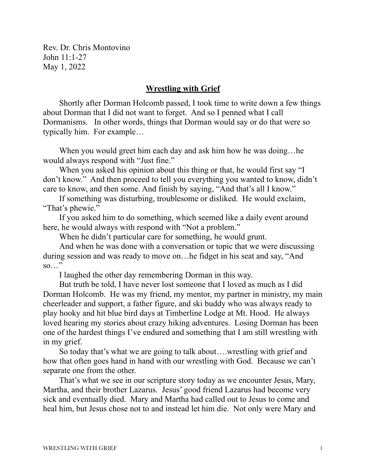Rev. Dr. Chris Montovino John 11:1-27 May 1, 2022

## **Wrestling with Grief**

Shortly after Dorman Holcomb passed, I took time to write down a few things about Dorman that I did not want to forget. And so I penned what I call Dormanisms. In other words, things that Dorman would say or do that were so typically him. For example…

When you would greet him each day and ask him how he was doing...he would always respond with "Just fine."

When you asked his opinion about this thing or that, he would first say "I don't know." And then proceed to tell you everything you wanted to know, didn't care to know, and then some. And finish by saying, "And that's all I know."

If something was disturbing, troublesome or disliked. He would exclaim, "That's phewie."

If you asked him to do something, which seemed like a daily event around here, he would always with respond with "Not a problem."

When he didn't particular care for something, he would grunt.

And when he was done with a conversation or topic that we were discussing during session and was ready to move on…he fidget in his seat and say, "And so…"

I laughed the other day remembering Dorman in this way.

But truth be told, I have never lost someone that I loved as much as I did Dorman Holcomb. He was my friend, my mentor, my partner in ministry, my main cheerleader and support, a father figure, and ski buddy who was always ready to play hooky and hit blue bird days at Timberline Lodge at Mt. Hood. He always loved hearing my stories about crazy hiking adventures. Losing Dorman has been one of the hardest things I've endured and something that I am still wrestling with in my grief.

So today that's what we are going to talk about….wrestling with grief and how that often goes hand in hand with our wrestling with God. Because we can't separate one from the other.

That's what we see in our scripture story today as we encounter Jesus, Mary, Martha, and their brother Lazarus. Jesus' good friend Lazarus had become very sick and eventually died. Mary and Martha had called out to Jesus to come and heal him, but Jesus chose not to and instead let him die. Not only were Mary and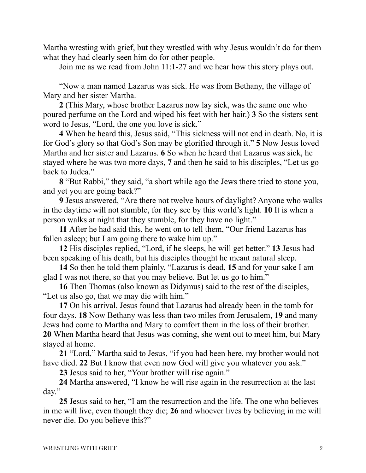Martha wresting with grief, but they wrestled with why Jesus wouldn't do for them what they had clearly seen him do for other people.

Join me as we read from John 11:1-27 and we hear how this story plays out.

"Now a man named Lazarus was sick. He was from Bethany, the village of Mary and her sister Martha.

**2** (This Mary, whose brother Lazarus now lay sick, was the same one who poured perfume on the Lord and wiped his feet with her hair.) **3** So the sisters sent word to Jesus, "Lord, the one you love is sick."

**4** When he heard this, Jesus said, "This sickness will not end in death. No, it is for God's glory so that God's Son may be glorified through it." **5** Now Jesus loved Martha and her sister and Lazarus. **6** So when he heard that Lazarus was sick, he stayed where he was two more days, **7** and then he said to his disciples, "Let us go back to Judea."

**8** "But Rabbi," they said, "a short while ago the Jews there tried to stone you, and yet you are going back?"

**9** Jesus answered, "Are there not twelve hours of daylight? Anyone who walks in the daytime will not stumble, for they see by this world's light. **10** It is when a person walks at night that they stumble, for they have no light."

**11** After he had said this, he went on to tell them, "Our friend Lazarus has fallen asleep; but I am going there to wake him up."

**12** His disciples replied, "Lord, if he sleeps, he will get better." **13** Jesus had been speaking of his death, but his disciples thought he meant natural sleep.

**14** So then he told them plainly, "Lazarus is dead, **15** and for your sake I am glad I was not there, so that you may believe. But let us go to him."

**16** Then Thomas (also known as Didymus) said to the rest of the disciples, "Let us also go, that we may die with him."

**17** On his arrival, Jesus found that Lazarus had already been in the tomb for four days. **18** Now Bethany was less than two miles from Jerusalem, **19** and many Jews had come to Martha and Mary to comfort them in the loss of their brother. **20** When Martha heard that Jesus was coming, she went out to meet him, but Mary stayed at home.

**21** "Lord," Martha said to Jesus, "if you had been here, my brother would not have died. **22** But I know that even now God will give you whatever you ask."

**23** Jesus said to her, "Your brother will rise again."

**24** Martha answered, "I know he will rise again in the resurrection at the last day."

**25** Jesus said to her, "I am the resurrection and the life. The one who believes in me will live, even though they die; **26** and whoever lives by believing in me will never die. Do you believe this?"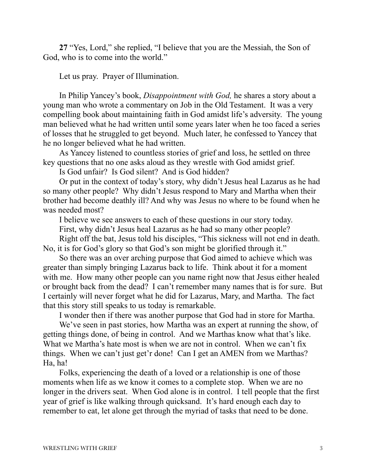**27** "Yes, Lord," she replied, "I believe that you are the Messiah, the Son of God, who is to come into the world."

Let us pray. Prayer of Illumination.

In Philip Yancey's book, *Disappointment with God,* he shares a story about a young man who wrote a commentary on Job in the Old Testament. It was a very compelling book about maintaining faith in God amidst life's adversity. The young man believed what he had written until some years later when he too faced a series of losses that he struggled to get beyond. Much later, he confessed to Yancey that he no longer believed what he had written.

As Yancey listened to countless stories of grief and loss, he settled on three key questions that no one asks aloud as they wrestle with God amidst grief.

Is God unfair? Is God silent? And is God hidden?

Or put in the context of today's story, why didn't Jesus heal Lazarus as he had so many other people? Why didn't Jesus respond to Mary and Martha when their brother had become deathly ill? And why was Jesus no where to be found when he was needed most?

I believe we see answers to each of these questions in our story today.

First, why didn't Jesus heal Lazarus as he had so many other people?

Right off the bat, Jesus told his disciples, "This sickness will not end in death. No, it is for God's glory so that God's son might be glorified through it."

So there was an over arching purpose that God aimed to achieve which was greater than simply bringing Lazarus back to life. Think about it for a moment with me. How many other people can you name right now that Jesus either healed or brought back from the dead? I can't remember many names that is for sure. But I certainly will never forget what he did for Lazarus, Mary, and Martha. The fact that this story still speaks to us today is remarkable.

I wonder then if there was another purpose that God had in store for Martha.

We've seen in past stories, how Martha was an expert at running the show, of getting things done, of being in control. And we Marthas know what that's like. What we Martha's hate most is when we are not in control. When we can't fix things. When we can't just get'r done! Can I get an AMEN from we Marthas? Ha, ha!

Folks, experiencing the death of a loved or a relationship is one of those moments when life as we know it comes to a complete stop. When we are no longer in the drivers seat. When God alone is in control. I tell people that the first year of grief is like walking through quicksand. It's hard enough each day to remember to eat, let alone get through the myriad of tasks that need to be done.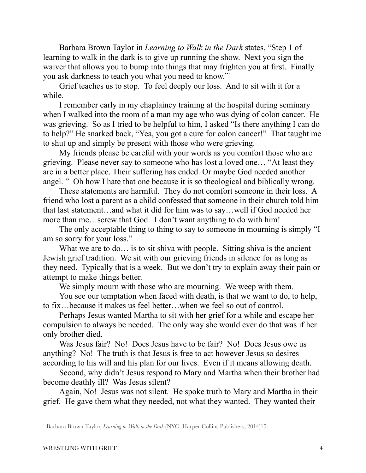Barbara Brown Taylor in *Learning to Walk in the Dark* states, "Step 1 of learning to walk in the dark is to give up running the show. Next you sign the waiver that allows you to bump into things that may frighten you at first. Finally you ask darkness to teach you what you need to know."[1](#page-3-0)

<span id="page-3-1"></span>Grief teaches us to stop. To feel deeply our loss. And to sit with it for a while.

I remember early in my chaplaincy training at the hospital during seminary when I walked into the room of a man my age who was dying of colon cancer. He was grieving. So as I tried to be helpful to him, I asked "Is there anything I can do to help?" He snarked back, "Yea, you got a cure for colon cancer!" That taught me to shut up and simply be present with those who were grieving.

My friends please be careful with your words as you comfort those who are grieving. Please never say to someone who has lost a loved one… "At least they are in a better place. Their suffering has ended. Or maybe God needed another angel. " Oh how I hate that one because it is so theological and biblically wrong.

These statements are harmful. They do not comfort someone in their loss. A friend who lost a parent as a child confessed that someone in their church told him that last statement…and what it did for him was to say…well if God needed her more than me…screw that God. I don't want anything to do with him!

The only acceptable thing to thing to say to someone in mourning is simply "I am so sorry for your loss."

What we are to do... is to sit shiva with people. Sitting shiva is the ancient Jewish grief tradition. We sit with our grieving friends in silence for as long as they need. Typically that is a week. But we don't try to explain away their pain or attempt to make things better.

We simply mourn with those who are mourning. We weep with them.

You see our temptation when faced with death, is that we want to do, to help, to fix…because it makes us feel better…when we feel so out of control.

Perhaps Jesus wanted Martha to sit with her grief for a while and escape her compulsion to always be needed. The only way she would ever do that was if her only brother died.

Was Jesus fair? No! Does Jesus have to be fair? No! Does Jesus owe us anything? No! The truth is that Jesus is free to act however Jesus so desires according to his will and his plan for our lives. Even if it means allowing death.

Second, why didn't Jesus respond to Mary and Martha when their brother had become deathly ill? Was Jesus silent?

Again, No! Jesus was not silent. He spoke truth to Mary and Martha in their grief. He gave them what they needed, not what they wanted. They wanted their

<span id="page-3-0"></span><sup>&</sup>lt;sup>[1](#page-3-1)</sup> Barbara Brown Taylor, *Learning to Walk in the Dark* (NYC: Harper Collins Publishers, 2014)15.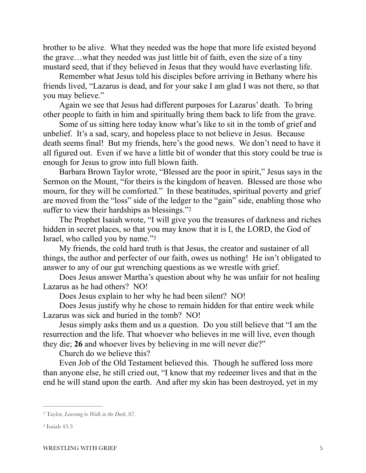brother to be alive. What they needed was the hope that more life existed beyond the grave…what they needed was just little bit of faith, even the size of a tiny mustard seed, that if they believed in Jesus that they would have everlasting life.

Remember what Jesus told his disciples before arriving in Bethany where his friends lived, "Lazarus is dead, and for your sake I am glad I was not there, so that you may believe."

Again we see that Jesus had different purposes for Lazarus' death. To bring other people to faith in him and spiritually bring them back to life from the grave.

Some of us sitting here today know what's like to sit in the tomb of grief and unbelief. It's a sad, scary, and hopeless place to not believe in Jesus. Because death seems final! But my friends, here's the good news. We don't need to have it all figured out. Even if we have a little bit of wonder that this story could be true is enough for Jesus to grow into full blown faith.

Barbara Brown Taylor wrote, "Blessed are the poor in spirit," Jesus says in the Sermon on the Mount, "for theirs is the kingdom of heaven. Blessed are those who mourn, for they will be comforted." In these beatitudes, spiritual poverty and grief are moved from the "loss" side of the ledger to the "gain" side, enabling those who suffer to view their hardships as blessings."<sup>[2](#page-4-0)</sup>

<span id="page-4-2"></span>The Prophet Isaiah wrote, "I will give you the treasures of darkness and riches hidden in secret places, so that you may know that it is I, the LORD, the God of Israel, who called you by name."<sup>[3](#page-4-1)</sup>

My friends, the cold hard truth is that Jesus, the creator and sustainer of all things, the author and perfecter of our faith, owes us nothing! He isn't obligated to answer to any of our gut wrenching questions as we wrestle with grief.

Does Jesus answer Martha's question about why he was unfair for not healing Lazarus as he had others? NO!

<span id="page-4-3"></span>Does Jesus explain to her why he had been silent? NO!

Does Jesus justify why he chose to remain hidden for that entire week while Lazarus was sick and buried in the tomb? NO!

Jesus simply asks them and us a question. Do you still believe that "I am the resurrection and the life. That whoever who believes in me will live, even though they die; **26** and whoever lives by believing in me will never die?"

Church do we believe this?

Even Job of the Old Testament believed this. Though he suffered loss more than anyone else, he still cried out, "I know that my redeemer lives and that in the end he will stand upon the earth. And after my skin has been destroyed, yet in my

<span id="page-4-0"></span>Taylor, *Learning to Walk in the Dark*, 87. [2](#page-4-2)

<span id="page-4-1"></span>[<sup>3</sup>](#page-4-3) Isaiah 45:3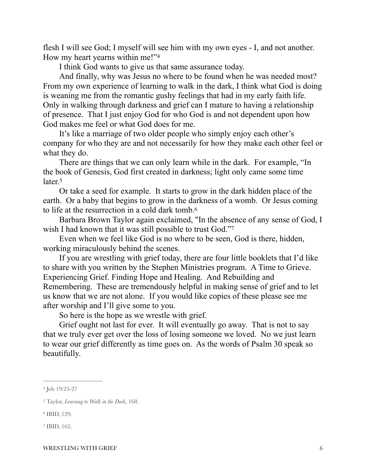flesh I will see God; I myself will see him with my own eyes - I, and not another. How my heart yearns within me!"[4](#page-5-0)

<span id="page-5-4"></span>I think God wants to give us that same assurance today.

And finally, why was Jesus no where to be found when he was needed most? From my own experience of learning to walk in the dark, I think what God is doing is weaning me from the romantic gushy feelings that had in my early faith life. Only in walking through darkness and grief can I mature to having a relationship of presence. That I just enjoy God for who God is and not dependent upon how God makes me feel or what God does for me.

It's like a marriage of two older people who simply enjoy each other's company for who they are and not necessarily for how they make each other feel or what they do.

There are things that we can only learn while in the dark. For example, "In the book of Genesis, God first created in darkness; light only came some time later.<sup>[5](#page-5-1)</sup>

<span id="page-5-5"></span>Or take a seed for example. It starts to grow in the dark hidden place of the earth. Or a baby that begins to grow in the darkness of a womb. Or Jesus coming to life at the resurrection in a cold dark tomb[.6](#page-5-2)

<span id="page-5-7"></span><span id="page-5-6"></span>Barbara Brown Taylor again exclaimed, "In the absence of any sense of God, I wish I had known that it was still possible to trust God."7

Even when we feel like God is no where to be seen, God is there, hidden, working miraculously behind the scenes.

If you are wrestling with grief today, there are four little booklets that I'd like to share with you written by the Stephen Ministries program. A Time to Grieve. Experiencing Grief. Finding Hope and Healing. And Rebuilding and Remembering. These are tremendously helpful in making sense of grief and to let us know that we are not alone. If you would like copies of these please see me after worship and I'll give some to you.

So here is the hope as we wrestle with grief.

Grief ought not last for ever. It will eventually go away. That is not to say that we truly ever get over the loss of losing someone we loved. No we just learn to wear our grief differently as time goes on. As the words of Psalm 30 speak so beautifully.

<span id="page-5-0"></span>[<sup>4</sup>](#page-5-4) Job 19:25-27

<span id="page-5-1"></span>Taylor, *Learning to Walk in the Dark*, 168. [5](#page-5-5)

<span id="page-5-2"></span><sup>&</sup>lt;sup>[6](#page-5-6)</sup> IBID, 129.

<span id="page-5-3"></span><sup>&</sup>lt;sup>[7](#page-5-7)</sup> IBID, 162.